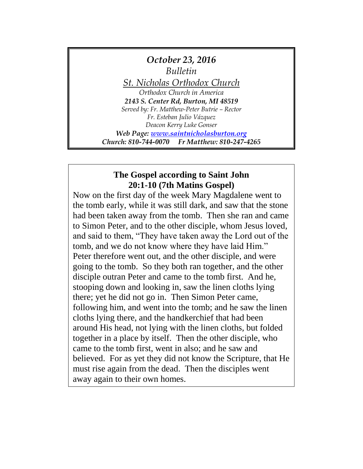

# **The Gospel according to Saint John 20:1-10 (7th Matins Gospel)**

Now on the first day of the week Mary Magdalene went to the tomb early, while it was still dark, and saw that the stone had been taken away from the tomb. Then she ran and came to Simon Peter, and to the other disciple, whom Jesus loved, and said to them, "They have taken away the Lord out of the tomb, and we do not know where they have laid Him." Peter therefore went out, and the other disciple, and were going to the tomb. So they both ran together, and the other disciple outran Peter and came to the tomb first. And he, stooping down and looking in, saw the linen cloths lying there; yet he did not go in. Then Simon Peter came, following him, and went into the tomb; and he saw the linen cloths lying there, and the handkerchief that had been around His head, not lying with the linen cloths, but folded together in a place by itself. Then the other disciple, who came to the tomb first, went in also; and he saw and believed. For as yet they did not know the Scripture, that He must rise again from the dead. Then the disciples went away again to their own homes.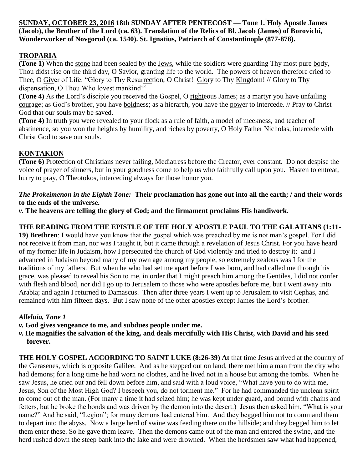### **SUNDAY, OCTOBER 23, 2016 18th SUNDAY AFTER PENTECOST — Tone 1. Holy Apostle James (Jacob), the Brother of the Lord (ca. 63). Translation of the Relics of Bl. Jacob (James) of Borovichí, Wonderworker of Novgorod (ca. 1540). St. Ignatius, Patriarch of Constantinople (877-878).**

## **TROPARIA**

**(Tone 1)** When the stone had been sealed by the Jews, while the soldiers were guarding Thy most pure body, Thou didst rise on the third day, O Savior, granting life to the world. The powers of heaven therefore cried to Thee, O Giver of Life: "Glory to Thy Resurrection, O Christ! Glory to Thy Kingdom! // Glory to Thy dispensation, O Thou Who lovest mankind!"

**(Tone 4)** As the Lord's disciple you received the Gospel, O righteous James; as a martyr you have unfailing courage; as God's brother, you have boldness; as a hierarch, you have the power to intercede. // Pray to Christ God that our souls may be saved.

**(Tone 4)** In truth you were revealed to your flock as a rule of faith, a model of meekness, and teacher of abstinence, so you won the heights by humility, and riches by poverty, O Holy Father Nicholas, intercede with Christ God to save our souls.

## **KONTAKION**

**(Tone 6)** Protection of Christians never failing, Mediatress before the Creator, ever constant. Do not despise the voice of prayer of sinners, but in your goodness come to help us who faithfully call upon you. Hasten to entreat, hurry to pray, O Theotokos, interceding always for those honor you.

### *The Prokeimenon in the Eighth Tone:* **Their proclamation has gone out into all the earth; / and their words to the ends of the universe.**

*v.* **The heavens are telling the glory of God; and the firmament proclaims His handiwork.**

## **THE READING FROM THE EPISTLE OF THE HOLY APOSTLE PAUL TO THE GALATIANS (1:11-**

**19) Brethren**: I would have you know that the gospel which was preached by me is not man's gospel. For I did not receive it from man, nor was I taught it, but it came through a revelation of Jesus Christ. For you have heard of my former life in Judaism, how I persecuted the church of God violently and tried to destroy it; and I advanced in Judaism beyond many of my own age among my people, so extremely zealous was I for the traditions of my fathers. But when he who had set me apart before I was born, and had called me through his grace, was pleased to reveal his Son to me, in order that I might preach him among the Gentiles, I did not confer with flesh and blood, nor did I go up to Jerusalem to those who were apostles before me, but I went away into Arabia; and again I returned to Damascus. Then after three years I went up to Jerusalem to visit Cephas, and remained with him fifteen days. But I saw none of the other apostles except James the Lord's brother.

## *Alleluia, Tone 1*

- *v.* **God gives vengeance to me, and subdues people under me.**
- *v.* **He magnifies the salvation of the king, and deals mercifully with His Christ, with David and his seed forever.**

**THE HOLY GOSPEL ACCORDING TO SAINT LUKE (8:26-39) At** that time Jesus arrived at the country of the Gerasenes, which is opposite Galilee. And as he stepped out on land, there met him a man from the city who had demons; for a long time he had worn no clothes, and he lived not in a house but among the tombs. When he saw Jesus, he cried out and fell down before him, and said with a loud voice, "What have you to do with me, Jesus, Son of the Most High God? I beseech you, do not torment me." For he had commanded the unclean spirit to come out of the man. (For many a time it had seized him; he was kept under guard, and bound with chains and fetters, but he broke the bonds and was driven by the demon into the desert.) Jesus then asked him, "What is your name?" And he said, "Legion"; for many demons had entered him. And they begged him not to command them to depart into the abyss. Now a large herd of swine was feeding there on the hillside; and they begged him to let them enter these. So he gave them leave. Then the demons came out of the man and entered the swine, and the herd rushed down the steep bank into the lake and were drowned. When the herdsmen saw what had happened,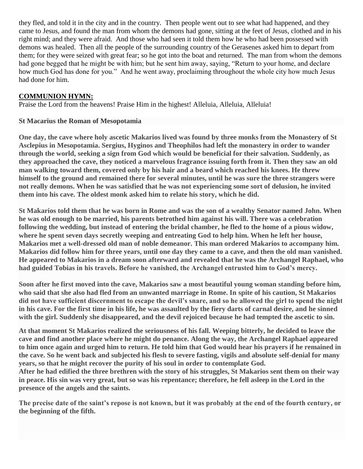they fled, and told it in the city and in the country. Then people went out to see what had happened, and they came to Jesus, and found the man from whom the demons had gone, sitting at the feet of Jesus, clothed and in his right mind; and they were afraid. And those who had seen it told them how he who had been possessed with demons was healed. Then all the people of the surrounding country of the Gerasenes asked him to depart from them; for they were seized with great fear; so he got into the boat and returned. The man from whom the demons had gone begged that he might be with him; but he sent him away, saying, "Return to your home, and declare how much God has done for you." And he went away, proclaiming throughout the whole city how much Jesus had done for him.

## **COMMUNION HYMN:**

Praise the Lord from the heavens! Praise Him in the highest! Alleluia, Alleluia, Alleluia!

### **St Macarius the Roman of Mesopotamia**

**One day, the cave where holy ascetic Makarios lived was found by three monks from the Monastery of St Asclepius in Mesopotamia. Sergius, Hyginos and Theophilos had left the monastery in order to wander through the world, seeking a sign from God which would be beneficial for their salvation. Suddenly, as they approached the cave, they noticed a marvelous fragrance issuing forth from it. Then they saw an old man walking toward them, covered only by his hair and a beard which reached his knees. He threw himself to the ground and remained there for several minutes, until he was sure the three strangers were not really demons. When he was satisfied that he was not experiencing some sort of delusion, he invited them into his cave. The oldest monk asked him to relate his story, which he did.**

**St Makarios told them that he was born in Rome and was the son of a wealthy Senator named John. When he was old enough to be married, his parents betrothed him against his will. There was a celebration following the wedding, but instead of entering the bridal chamber, he fled to the home of a pious widow, where he spent seven days secretly weeping and entreating God to help him. When he left her house, Makarios met a well-dressed old man of noble demeanor. This man ordered Makarios to accompany him. Makarios did follow him for three years, until one day they came to a cave, and then the old man vanished. He appeared to Makarios in a dream soon afterward and revealed that he was the Archangel Raphael, who had guided Tobias in his travels. Before he vanished, the Archangel entrusted him to God's mercy.**

**Soon after he first moved into the cave, Makarios saw a most beautiful young woman standing before him, who said that she also had fled from an unwanted marriage in Rome. In spite of his caution, St Makarios did not have sufficient discernment to escape the devil's snare, and so he allowed the girl to spend the night in his cave. For the first time in his life, he was assaulted by the fiery darts of carnal desire, and he sinned with the girl. Suddenly she disappeared, and the devil rejoiced because he had tempted the ascetic to sin.**

**At that moment St Makarios realized the seriousness of his fall. Weeping bitterly, he decided to leave the cave and find another place where he might do penance. Along the way, the Archangel Raphael appeared to him once again and urged him to return. He told him that God would hear his prayers if he remained in the cave. So he went back and subjected his flesh to severe fasting, vigils and absolute self-denial for many years, so that he might recover the purity of his soul in order to contemplate God.**

**After he had edified the three brethren with the story of his struggles, St Makarios sent them on their way in peace. His sin was very great, but so was his repentance; therefore, he fell asleep in the Lord in the presence of the angels and the saints.**

**The precise date of the saint's repose is not known, but it was probably at the end of the fourth century, or the beginning of the fifth.**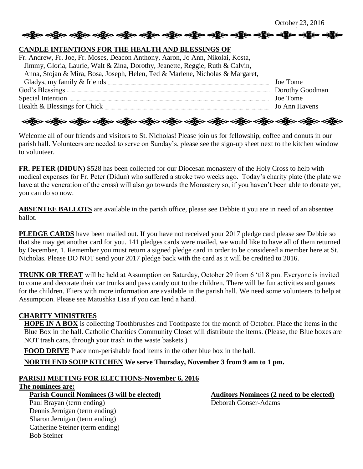### **CANDLE INTENTIONS FOR THE HEALTH AND BLESSINGS OF**

| Fr. Andrew, Fr. Joe, Fr. Moses, Deacon Anthony, Aaron, Jo Ann, Nikolai, Kosta,                                                                                                                                                       |               |
|--------------------------------------------------------------------------------------------------------------------------------------------------------------------------------------------------------------------------------------|---------------|
| Jimmy, Gloria, Laurie, Walt & Zina, Dorothy, Jeanette, Reggie, Ruth & Calvin,                                                                                                                                                        |               |
| Anna, Stojan & Mira, Bosa, Joseph, Helen, Ted & Marlene, Nicholas & Margaret,                                                                                                                                                        |               |
|                                                                                                                                                                                                                                      | Joe Tome      |
|                                                                                                                                                                                                                                      |               |
| Special Intention <i>manufacture contract to the contract of the contract of the contract of the contract of the contract of the contract of the contract of the contract of the contract of the contract of the contract of the</i> | Joe Tome      |
|                                                                                                                                                                                                                                      | Jo Ann Havens |

ခရွို့လ ခရွို့လ ခရွို့လ ခရွို့လ ခရွို့လ ခရွို့လ ခရွို့လ ခရွို့လ ခရွို့လ ခရွို့လ ခရွို့လ ခရွို့လ ခရွို့လ ခရွို့လ

Welcome all of our friends and visitors to St. Nicholas! Please join us for fellowship, coffee and donuts in our parish hall. Volunteers are needed to serve on Sunday's, please see the sign-up sheet next to the kitchen window to volunteer.

**FR. PETER (DIDUN)** \$528 has been collected for our Diocesan monastery of the Holy Cross to help with medical expenses for Fr. Peter (Didun) who suffered a stroke two weeks ago. Today's charity plate (the plate we have at the veneration of the cross) will also go towards the Monastery so, if you haven't been able to donate yet, you can do so now.

**ABSENTEE BALLOTS** are available in the parish office, please see Debbie it you are in need of an absentee ballot.

**PLEDGE CARDS** have been mailed out. If you have not received your 2017 pledge card please see Debbie so that she may get another card for you. 141 pledges cards were mailed, we would like to have all of them returned by December, 1. Remember you must return a signed pledge card in order to be considered a member here at St. Nicholas. Please DO NOT send your 2017 pledge back with the card as it will be credited to 2016.

**TRUNK OR TREAT** will be held at Assumption on Saturday, October 29 from 6 'til 8 pm. Everyone is invited to come and decorate their car trunks and pass candy out to the children. There will be fun activities and games for the children. Fliers with more information are available in the parish hall. We need some volunteers to help at Assumption. Please see Matushka Lisa if you can lend a hand.

### **CHARITY MINISTRIES**

**HOPE IN A BOX** is collecting Toothbrushes and Toothpaste for the month of October. Place the items in the Blue Box in the hall. Catholic Charities Community Closet will distribute the items. (Please, the Blue boxes are NOT trash cans, through your trash in the waste baskets.)

**FOOD DRIVE** Place non-perishable food items in the other blue box in the hall.

**NORTH END SOUP KITCHEN We serve Thursday, November 3 from 9 am to 1 pm.**

### **PARISH MEETING FOR ELECTIONS-November 6, 2016**

### **The nominees are:**

Bob Steiner

**Parish Council Nominees (3 will be elected) Auditors Nominees (2 need to be elected)** Paul Brayan (term ending) Deborah Gonser-Adams Dennis Jernigan (term ending) Sharon Jernigan (term ending) Catherine Steiner (term ending)